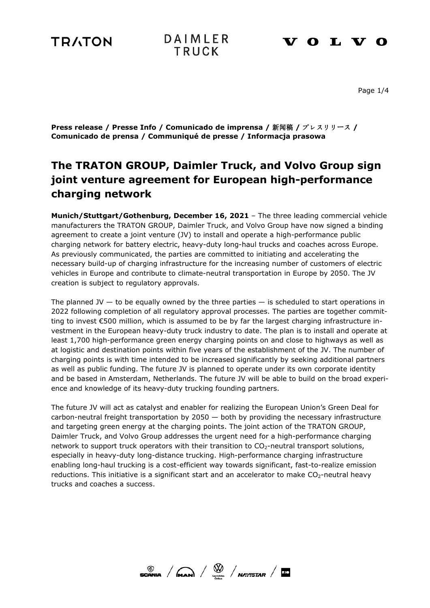# **TRATON**



## **VOLVO**

Page 1/4

**Press release / Presse Info / Comunicado de imprensa /** 新闻稿 **/** プレスリリース **/ Comunicado de prensa / Communiqué de presse / Informacja prasowa**

# **The TRATON GROUP, Daimler Truck, and Volvo Group sign joint venture agreement for European high-performance charging network**

**Munich/Stuttgart/Gothenburg, December 16, 2021** – The three leading commercial vehicle manufacturers the TRATON GROUP, Daimler Truck, and Volvo Group have now signed a binding agreement to create a joint venture (JV) to install and operate a high-performance public charging network for battery electric, heavy-duty long-haul trucks and coaches across Europe. As previously communicated, the parties are committed to initiating and accelerating the necessary build-up of charging infrastructure for the increasing number of customers of electric vehicles in Europe and contribute to climate-neutral transportation in Europe by 2050. The JV creation is subject to regulatory approvals.

The planned JV  $-$  to be equally owned by the three parties  $-$  is scheduled to start operations in 2022 following completion of all regulatory approval processes. The parties are together committing to invest €500 million, which is assumed to be by far the largest charging infrastructure investment in the European heavy-duty truck industry to date. The plan is to install and operate at least 1,700 high-performance green energy charging points on and close to highways as well as at logistic and destination points within five years of the establishment of the JV. The number of charging points is with time intended to be increased significantly by seeking additional partners as well as public funding. The future JV is planned to operate under its own corporate identity and be based in Amsterdam, Netherlands. The future JV will be able to build on the broad experience and knowledge of its heavy-duty trucking founding partners.

The future JV will act as catalyst and enabler for realizing the European Union's Green Deal for carbon-neutral freight transportation by  $2050 -$  both by providing the necessary infrastructure and targeting green energy at the charging points. The joint action of the TRATON GROUP, Daimler Truck, and Volvo Group addresses the urgent need for a high-performance charging network to support truck operators with their transition to  $CO<sub>2</sub>$ -neutral transport solutions, especially in heavy-duty long-distance trucking. High-performance charging infrastructure enabling long-haul trucking is a cost-efficient way towards significant, fast-to-realize emission reductions. This initiative is a significant start and an accelerator to make  $CO<sub>2</sub>$ -neutral heavy trucks and coaches a success.

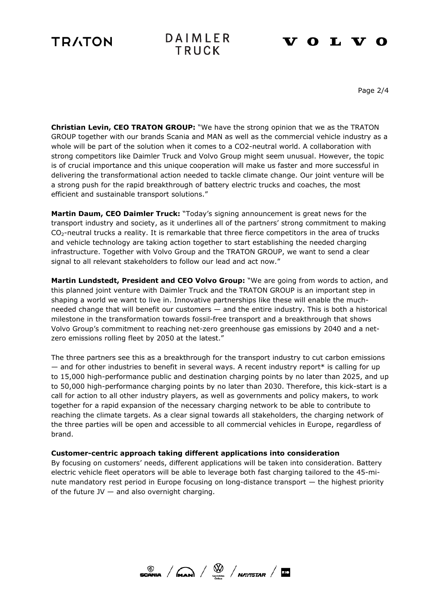# **TRATON**



# **VOLVO**

Page 2/4

**Christian Levin, CEO TRATON GROUP:** "We have the strong opinion that we as the TRATON GROUP together with our brands Scania and MAN as well as the commercial vehicle industry as a whole will be part of the solution when it comes to a CO2-neutral world. A collaboration with strong competitors like Daimler Truck and Volvo Group might seem unusual. However, the topic is of crucial importance and this unique cooperation will make us faster and more successful in delivering the transformational action needed to tackle climate change. Our joint venture will be a strong push for the rapid breakthrough of battery electric trucks and coaches, the most efficient and sustainable transport solutions."

**Martin Daum, CEO Daimler Truck:** "Today's signing announcement is great news for the transport industry and society, as it underlines all of the partners' strong commitment to making  $CO<sub>2</sub>$ -neutral trucks a reality. It is remarkable that three fierce competitors in the area of trucks and vehicle technology are taking action together to start establishing the needed charging infrastructure. Together with Volvo Group and the TRATON GROUP, we want to send a clear signal to all relevant stakeholders to follow our lead and act now."

**Martin Lundstedt, President and CEO Volvo Group:** "We are going from words to action, and this planned joint venture with Daimler Truck and the TRATON GROUP is an important step in shaping a world we want to live in. Innovative partnerships like these will enable the muchneeded change that will benefit our customers — and the entire industry. This is both a historical milestone in the transformation towards fossil-free transport and a breakthrough that shows Volvo Group's commitment to reaching net-zero greenhouse gas emissions by 2040 and a netzero emissions rolling fleet by 2050 at the latest."

The three partners see this as a breakthrough for the transport industry to cut carbon emissions — and for other industries to benefit in several ways. A recent industry report\* is calling for up to 15,000 high-performance public and destination charging points by no later than 2025, and up to 50,000 high-performance charging points by no later than 2030. Therefore, this kick-start is a call for action to all other industry players, as well as governments and policy makers, to work together for a rapid expansion of the necessary charging network to be able to contribute to reaching the climate targets. As a clear signal towards all stakeholders, the charging network of the three parties will be open and accessible to all commercial vehicles in Europe, regardless of brand.

### **Customer-centric approach taking different applications into consideration**

By focusing on customers' needs, different applications will be taken into consideration. Battery electric vehicle fleet operators will be able to leverage both fast charging tailored to the 45-minute mandatory rest period in Europe focusing on long-distance transport — the highest priority of the future  $JV$  — and also overnight charging.

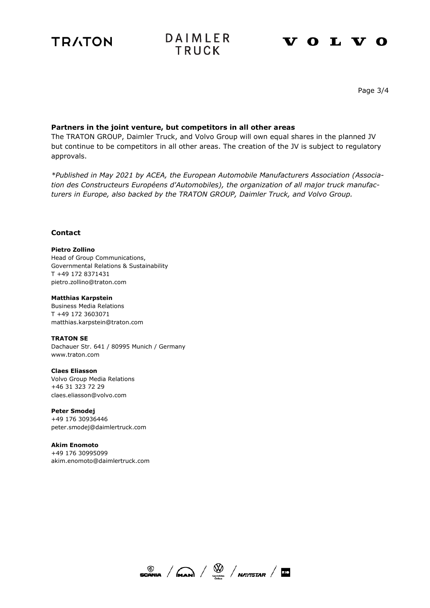



### **VOLVO**

Page 3/4

### **Partners in the joint venture, but competitors in all other areas**

The TRATON GROUP, Daimler Truck, and Volvo Group will own equal shares in the planned JV but continue to be competitors in all other areas. The creation of the JV is subject to regulatory approvals.

*\*Published in May 2021 by ACEA, the European Automobile Manufacturers Association (Association des Constructeurs Européens d'Automobiles), the organization of all major truck manufacturers in Europe, also backed by the TRATON GROUP, Daimler Truck, and Volvo Group.*

### **Contact**

### **Pietro Zollino**

Head of Group Communications, Governmental Relations & Sustainability T +49 172 8371431 pietro.zollino@traton.com

#### **Matthias Karpstein**

Business Media Relations T +49 172 3603071 matthias.karpstein@traton.com

**TRATON SE**  Dachauer Str. 641 / 80995 Munich / Germany

www.traton.com

**Claes Eliasson** Volvo Group Media Relations +46 31 323 72 29 [claes.eliasson@volvo.com](mailto:claes.eliasson@volvo.com)

**Peter Smodej** +49 176 30936446 [peter.smodej@daimlertruck.com](mailto:peter.smodej@daimlertruck.com)

**Akim Enomoto** +49 176 30995099 [akim.enomoto@daimlertruck.com](mailto:akim.enomoto@daimlertruck.com)